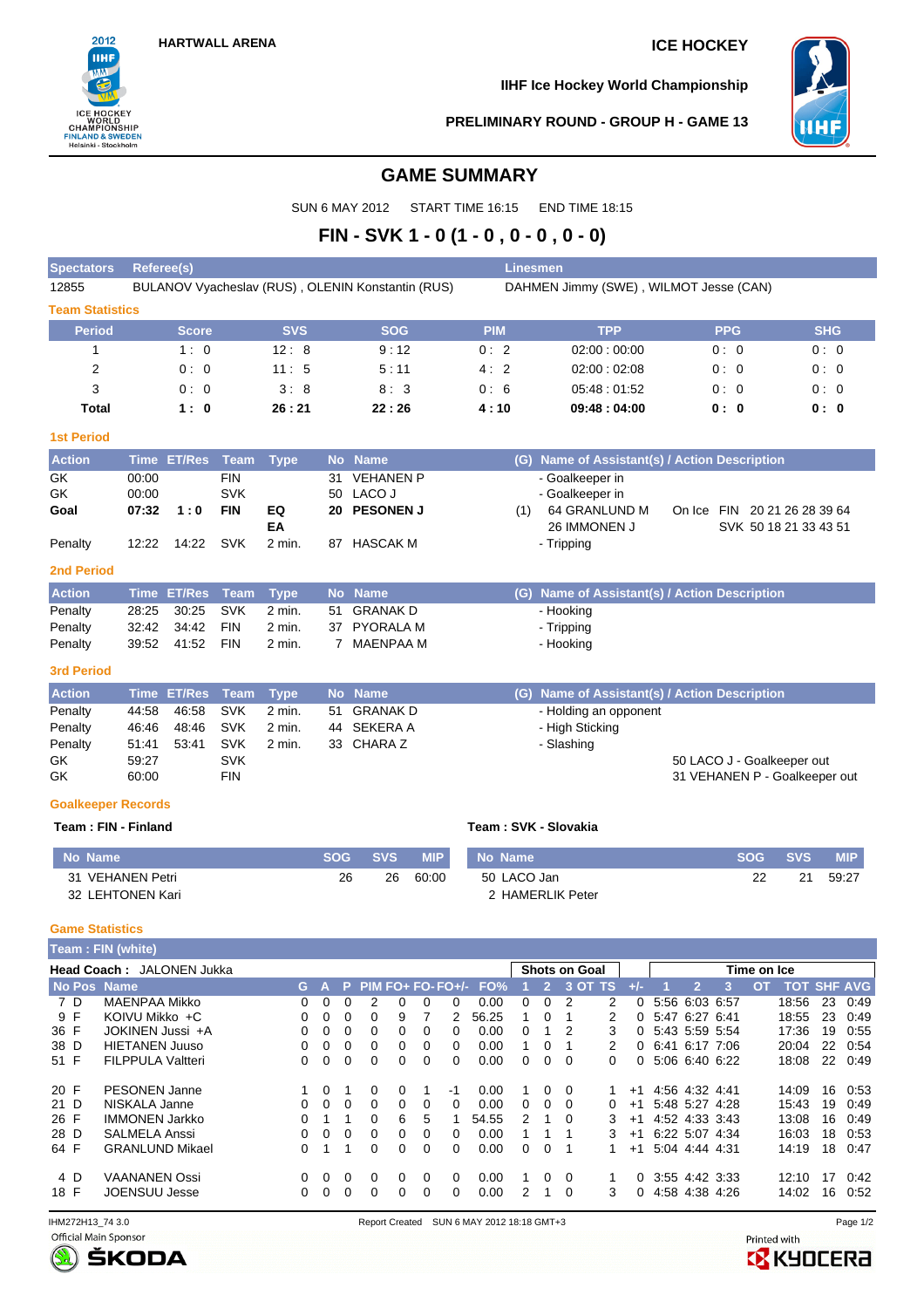

**IIHF Ice Hockey World Championship**



### **PRELIMINARY ROUND - GROUP H - GAME 13**

## **GAME SUMMARY**

SUN 6 MAY 2012 START TIME 16:15 END TIME 18:15

# **FIN - SVK 1 - 0 (1 - 0 , 0 - 0 , 0 - 0)**

| <b>Spectators</b>      | Referee(s)   |            |                                                   | <b>Linesmen</b> |                                        |            |            |
|------------------------|--------------|------------|---------------------------------------------------|-----------------|----------------------------------------|------------|------------|
| 12855                  |              |            | BULANOV Vyacheslav (RUS), OLENIN Konstantin (RUS) |                 | DAHMEN Jimmy (SWE), WILMOT Jesse (CAN) |            |            |
| <b>Team Statistics</b> |              |            |                                                   |                 |                                        |            |            |
| <b>Period</b>          | <b>Score</b> | <b>SVS</b> | <b>SOG</b>                                        | <b>PIM</b>      | <b>TPP</b>                             | <b>PPG</b> | <b>SHG</b> |
|                        | 1:0          | 12:8       | 9:12                                              | 0:2             | 02:00:00:00                            | 0:0        | 0:0        |
| 2                      | 0:0          | 11:5       | 5:11                                              | 4:2             | 02:00:02:08                            | 0:0        | 0:0        |
| 3                      | 0:0          | 3:8        | 8:3                                               | 0:6             | 05:48:01:52                            | 0:0        | 0:0        |
| Total                  | 1:0          | 26:21      | 22:26                                             | 4:10            | 09:48:04:00                            | 0: 0       | 0: 0       |

### **1st Period**

| <b>Action</b> |                   | Time ET/Res Team Type |            |        | No Name      | (G) Name of Assistant(s) / Action Description |                              |
|---------------|-------------------|-----------------------|------------|--------|--------------|-----------------------------------------------|------------------------------|
| GK            | 00:00             |                       | <b>FIN</b> |        | 31 VEHANEN P | - Goalkeeper in                               |                              |
| GK            | 00:00             |                       | <b>SVK</b> |        | 50 LACO J    | - Goalkeeper in                               |                              |
| Goal          | $07:32 \quad 1:0$ |                       | <b>FIN</b> | EQ     | 20 PESONEN J | 64 GRANLUND M                                 | On Ice FIN 20 21 26 28 39 64 |
|               |                   |                       |            | ΕA     |              | 26 IMMONEN J                                  | SVK 50 18 21 33 43 51        |
| Penalty       | 12:22             | 14:22 SVK             |            | 2 min. | 87 HASCAK M  | - Tripping                                    |                              |

### **2nd Period**

| <b>Action</b> | Time ET/Res Team Type  |        | <b>No Name</b> | (G) Name of Assistant(s) / Action Description |
|---------------|------------------------|--------|----------------|-----------------------------------------------|
| Penalty       | 28:25 30:25 SVK 2 min. |        | 51 GRANAK D    | - Hooking                                     |
| Penalty       | 32:42 34:42 FIN        | 2 min. | 37 PYORALA M   | - Tripping                                    |
| Penalty       |                        | 2 min. | MAENPAA M      | - Hooking                                     |

### **3rd Period**

| <b>Action</b> |       | Time ET/Res Team Type |            |        | No Name     | (G) Name of Assistant(s) / Action Description |                               |
|---------------|-------|-----------------------|------------|--------|-------------|-----------------------------------------------|-------------------------------|
| Penalty       | 44:58 | 46:58 SVK             |            | 2 min. | 51 GRANAK D | - Holding an opponent                         |                               |
| Penalty       | 46:46 | 48:46 SVK             |            | 2 min. | 44 SEKERA A | - High Sticking                               |                               |
| Penalty       | 51:41 | 53:41                 | <b>SVK</b> | 2 min. | 33 CHARAZ   | - Slashing                                    |                               |
| GK            | 59.27 |                       | SVK        |        |             |                                               | 50 LACO J - Goalkeeper out    |
| GK            | 60:00 |                       | FIN        |        |             |                                               | 31 VEHANEN P - Goalkeeper out |

### **Goalkeeper Records**

### **Team : FIN - Finland Team : SVK - Slovakia**

| No Name          | <b>SOG</b> | <b>SVS</b> | <b>MIP</b> | No Name          | <b>SOG</b> | <b>SVS</b> | MIP.  |
|------------------|------------|------------|------------|------------------|------------|------------|-------|
| 31 VEHANEN Petri | 26         | 26         | 60:00      | 50 LACO Jan      |            | 21         | 59:27 |
| 32 LEHTONEN Kari |            |            |            | 2 HAMERLIK Peter |            |            |       |

### **Game Statistics**

|      |     | Team: FIN (white)         |    |          |    |                   |          |   |          |       |   |    |                      |   |       |                |   |   |             |                    |    |      |
|------|-----|---------------------------|----|----------|----|-------------------|----------|---|----------|-------|---|----|----------------------|---|-------|----------------|---|---|-------------|--------------------|----|------|
|      |     | Head Coach: JALONEN Jukka |    |          |    |                   |          |   |          |       |   |    | <b>Shots on Goal</b> |   |       |                |   |   | Time on Ice |                    |    |      |
|      |     | No Pos Name               | G. |          | P. | $PIM FO+FO-FO+/-$ |          |   |          | FO%   |   | 2. | 3 OT TS              |   | $+/-$ |                | 2 | з | OТ          | <b>TOT SHF AVG</b> |    |      |
|      | 7 D | MAENPAA Mikko             | 0  | 0        | 0  | 2                 | 0        | 0 |          | 0.00  | 0 | 0  |                      | 2 | 0     | 5:56 6:03 6:57 |   |   |             | 18:56              | 23 | 0:49 |
|      | 9 F | KOIVU Mikko +C            | 0  | 0        | 0  |                   | 9        |   |          | 56.25 |   | 0  |                      | 2 | 0     | 5:47 6:27 6:41 |   |   |             | 18:55              | 23 | 0:49 |
| 36 F |     | JOKINEN Jussi +A          | 0  | 0        | 0  |                   | 0        | 0 |          | 0.00  | 0 |    | 2                    | 3 |       | 5:43 5:59 5:54 |   |   |             | 17:36              | 19 | 0.55 |
| 38 D |     | <b>HIETANEN Juuso</b>     | 0  | 0        | 0  | 0                 | 0        | 0 | $\Omega$ | 0.00  |   | 0  |                      | 2 | 0     | 6.41 6.17 7.06 |   |   |             | 20:04              | 22 | 0.54 |
| 51 F |     | <b>FILPPULA Valtteri</b>  | 0  | 0        | 0  | 0                 | 0        | 0 | $\Omega$ | 0.00  | 0 | 0  | $\Omega$             | 0 | 0     | 5:06 6:40 6:22 |   |   |             | 18:08              | 22 | 0:49 |
| 20 F |     | <b>PESONEN Janne</b>      |    | $\Omega$ |    | 0                 | $\Omega$ |   | -1       | 0.00  |   | 0  | $\Omega$             |   | $+1$  | 4.56 4.32 4.41 |   |   |             | 14:09              | 16 | 0.53 |
| 21 D |     | NISKALA Janne             | 0  | $\Omega$ | 0  | 0                 | 0        | 0 | $\Omega$ | 0.00  | 0 | 0  | 0                    | 0 | $+1$  | 5:48 5:27 4:28 |   |   |             | 15:43              | 19 | 0.49 |
| 26 F |     | <b>IMMONEN Jarkko</b>     | 0  |          |    | 0                 | 6        | 5 |          | 54.55 | 2 |    | $\Omega$             | 3 | $+1$  | 4:52 4:33 3:43 |   |   |             | 13:08              | 16 | 0:49 |
| 28 D |     | <b>SALMELA Anssi</b>      | 0  | 0        | 0  | 0                 | 0        | 0 | $\Omega$ | 0.00  |   |    |                      |   | $+1$  | 6:22 5:07 4:34 |   |   |             | 16:03              | 18 | 0.53 |
| 64 F |     | <b>GRANLUND Mikael</b>    | 0  |          |    | 0                 | 0        | 0 | $\Omega$ | 0.00  | 0 | 0  |                      |   | $+1$  | 5:04 4:44 4:31 |   |   |             | 14:19              | 18 | 0.47 |
|      | 4 D | <b>VAANANEN Ossi</b>      | 0  | 0        | 0  | 0                 | 0        | 0 | $\Omega$ | 0.00  |   | 0  | $\Omega$             |   | 0     | 3:55 4:42 3:33 |   |   |             | 12:10              | 17 | 0:42 |
| 18 F |     | JOENSUU Jesse             | 0  | 0        | 0  | 0                 | 0        | 0 | $\Omega$ | 0.00  | 2 |    | $\Omega$             | 3 | 0     | 4.58 4.38 4.26 |   |   |             | 14:02              | 16 | 0:52 |



Printed with